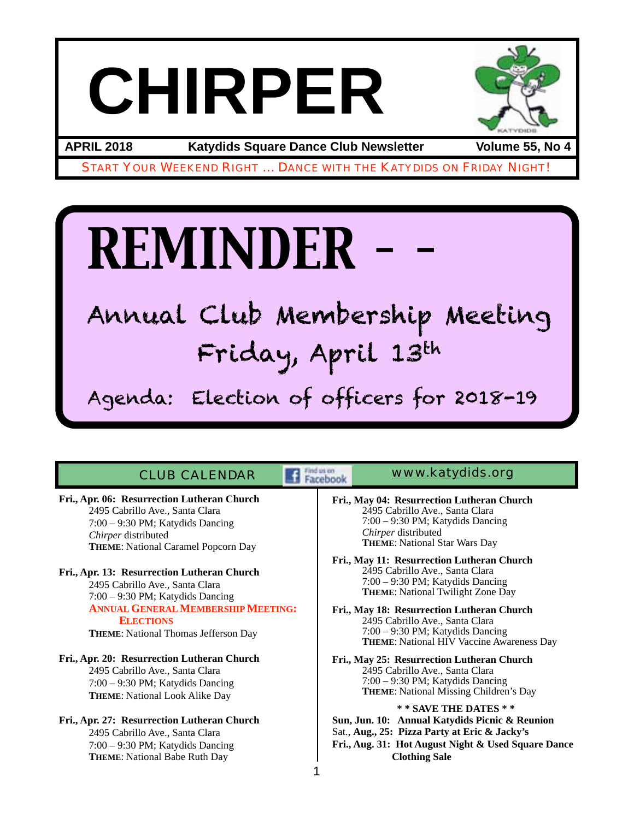# **CHIRPER**



**APRIL 2018 Katydids Square Dance Club Newsletter Volume 55, No 4**

START YOUR WEEKEND RIGHT … DANCE WITH THE KATYDIDS ON FRIDAY NIGHT!

# *REMINDER – –*

Annual Club Membership Meeting Friday, April 13th

Agenda: Election of officers for 2018-19

### CLUB CALENDAR **The Statebook** WWW.katydids.org

### **Fri., Apr. 06: Resurrection Lutheran Church**

2495 Cabrillo Ave., Santa Clara 7:00 – 9:30 PM; Katydids Dancing *Chirper* distributed **THEME**: National Caramel Popcorn Day

### **Fri., Apr. 13: Resurrection Lutheran Church** 2495 Cabrillo Ave., Santa Clara 7:00 – 9:30 PM; Katydids Dancing

**ANNUAL GENERAL MEMBERSHIP MEETING: ELECTIONS**

**THEME**: National Thomas Jefferson Day

### **Fri., Apr. 20: Resurrection Lutheran Church**

2495 Cabrillo Ave., Santa Clara 7:00 – 9:30 PM; Katydids Dancing **THEME**: National Look Alike Day

### **Fri., Apr. 27: Resurrection Lutheran Church**

2495 Cabrillo Ave., Santa Clara 7:00 – 9:30 PM; Katydids Dancing **THEME**: National Babe Ruth Day

- **Fri., May 04: Resurrection Lutheran Church** 2495 Cabrillo Ave., Santa Clara 7:00 – 9:30 PM; Katydids Dancing *Chirper* distributed **THEME**: National Star Wars Day
- **Fri., May 11: Resurrection Lutheran Church** 2495 Cabrillo Ave., Santa Clara 7:00 – 9:30 PM; Katydids Dancing **THEME**: National Twilight Zone Day
- **Fri., May 18: Resurrection Lutheran Church** 2495 Cabrillo Ave., Santa Clara 7:00 – 9:30 PM; Katydids Dancing **THEME**: National HIV Vaccine Awareness Day
- **Fri., May 25: Resurrection Lutheran Church** 2495 Cabrillo Ave., Santa Clara 7:00 – 9:30 PM; Katydids Dancing **THEME**: National Missing Children's Day

### **\* \* SAVE THE DATES \* \***

**Sun, Jun. 10: Annual Katydids Picnic & Reunion** Sat., **Aug., 25: Pizza Party at Eric & Jacky's Fri., Aug. 31: Hot August Night & Used Square Dance Clothing Sale**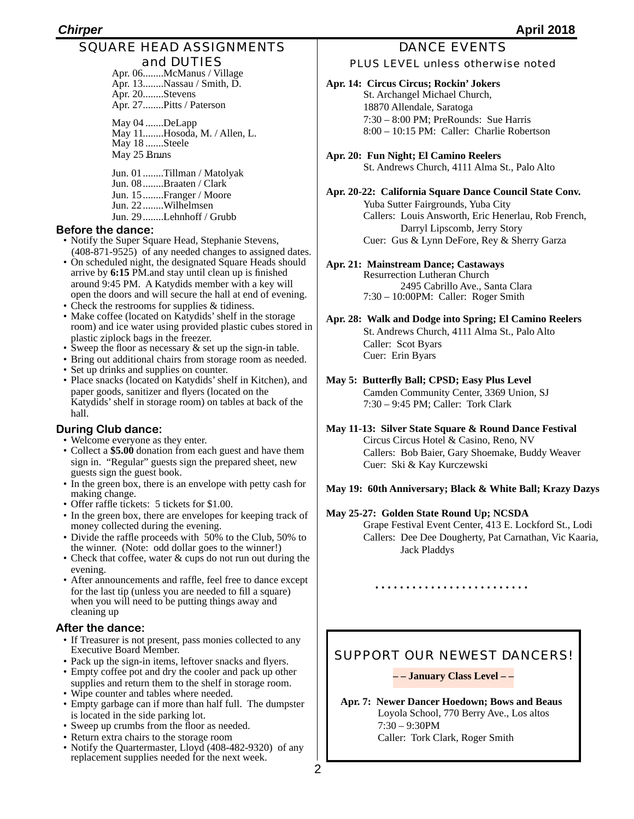### SQUARE HEAD ASSIGNMENTS and DUTIES

Apr. 06........McManus / Village Apr. 13........Nassau / Smith, D. Apr. 20........Stevens Apr. 27........Pitts / Paterson

May 04 .......DeLapp May 11........Hosoda, M. / Allen, L. May 18 .......Steele May 25 Bruns

Jun. 01........Tillman / Matolyak Jun. 08........Braaten / Clark Jun. 15........Franger / Moore Jun. 22........Wilhelmsen Jun. 29........Lehnhoff / Grubb

### **Before the dance:**

- Notify the Super Square Head, Stephanie Stevens, (408-871-9525) of any needed changes to assigned dates.
- On scheduled night, the designated Square Heads should arrive by **6:15** PM.and stay until clean up is finished around 9:45 PM. A Katydids member with a key will open the doors and will secure the hall at end of evening.
- Check the restrooms for supplies & tidiness.
- Make coffee (located on Katydids' shelf in the storage room) and ice water using provided plastic cubes stored in plastic ziplock bags in the freezer.
- Sweep the floor as necessary  $\&$  set up the sign-in table.
- Bring out additional chairs from storage room as needed.
- Set up drinks and supplies on counter.
- Place snacks (located on Katydids' shelf in Kitchen), and paper goods, sanitizer and flyers (located on the Katydids' shelf in storage room) on tables at back of the hall.

### **During Club dance:**

- Welcome everyone as they enter.
- Collect a **\$5.00** donation from each guest and have them sign in. "Regular" guests sign the prepared sheet, new guests sign the guest book.
- In the green box, there is an envelope with petty cash for making change.
- Offer raffle tickets: 5 tickets for \$1.00.
- In the green box, there are envelopes for keeping track of money collected during the evening.
- Divide the raffle proceeds with 50% to the Club, 50% to the winner. (Note: odd dollar goes to the winner!)
- Check that coffee, water & cups do not run out during the evening.
- After announcements and raffle, feel free to dance except for the last tip (unless you are needed to fill a square) when you will need to be putting things away and cleaning up

### **After the dance:**

- If Treasurer is not present, pass monies collected to any Executive Board Member.
- Pack up the sign-in items, leftover snacks and flyers.
- Empty coffee pot and dry the cooler and pack up other supplies and return them to the shelf in storage room.
- Wipe counter and tables where needed.
- Empty garbage can if more than half full. The dumpster is located in the side parking lot.
- Sweep up crumbs from the floor as needed.
- Return extra chairs to the storage room
- Notify the Quartermaster, Lloyd (408-482-9320) of any replacement supplies needed for the next week.

### DANCE EVENTS

### PLUS LEVEL unless otherwise noted

### **Apr. 14: Circus Circus; Rockin' Jokers**

St. Archangel Michael Church, 18870 Allendale, Saratoga 7:30 – 8:00 PM; PreRounds: Sue Harris 8:00 – 10:15 PM: Caller: Charlie Robertson

**Apr. 20: Fun Night; El Camino Reelers** St. Andrews Church, 4111 Alma St., Palo Alto

**Apr. 20-22: California Square Dance Council State Conv.** Yuba Sutter Fairgrounds, Yuba City Callers: Louis Answorth, Eric Henerlau, Rob French, Darryl Lipscomb, Jerry Story Cuer: Gus & Lynn DeFore, Rey & Sherry Garza

### **Apr. 21: Mainstream Dance; Castaways**

Resurrection Lutheran Church 2495 Cabrillo Ave., Santa Clara 7:30 – 10:00PM: Caller: Roger Smith

**Apr. 28: Walk and Dodge into Spring; El Camino Reelers** St. Andrews Church, 4111 Alma St., Palo Alto Caller: Scot Byars Cuer: Erin Byars

### **May 5: Butterfly Ball; CPSD; Easy Plus Level** Camden Community Center, 3369 Union, SJ 7:30 – 9:45 PM; Caller: Tork Clark

**May 11-13: Silver State Square & Round Dance Festival** Circus Circus Hotel & Casino, Reno, NV Callers: Bob Baier, Gary Shoemake, Buddy Weaver Cuer: Ski & Kay Kurczewski

### **May 19: 60th Anniversary; Black & White Ball; Krazy Dazys**

### **May 25-27: Golden State Round Up; NCSDA**

Grape Festival Event Center, 413 E. Lockford St., Lodi Callers: Dee Dee Dougherty, Pat Carnathan, Vic Kaaria, Jack Pladdys

### SUPPORT OUR NEWEST DANCERS!

### **– – January Class Level – –**

**Apr. 7: Newer Dancer Hoedown; Bows and Beaus** Loyola School, 770 Berry Ave., Los altos 7:30 – 9:30PM Caller: Tork Clark, Roger Smith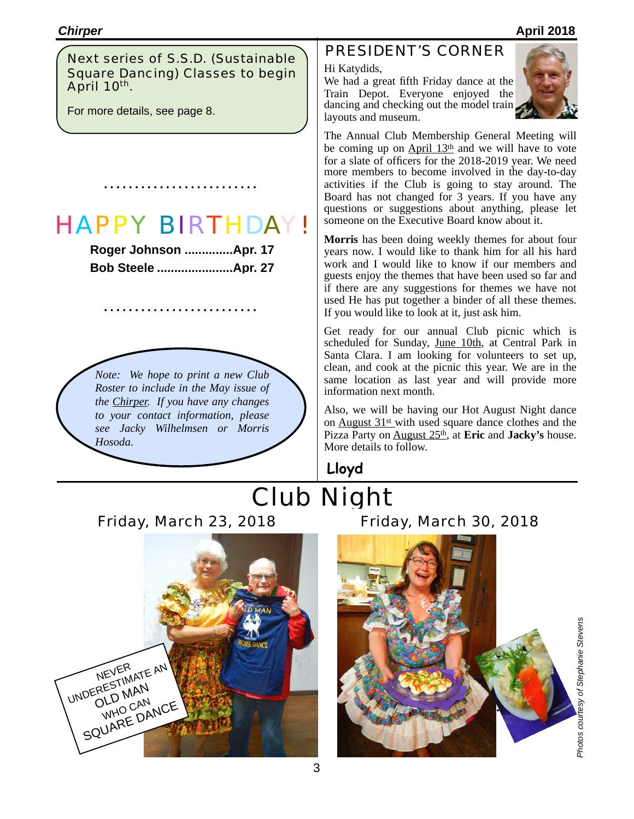

For more details, see page 8.

## HAPPY BIRTHDAY!

| Roger Johnson Apr. 17     |  |
|---------------------------|--|
| <b>Bob Steele Apr. 27</b> |  |

*Note: We hope to print a new Club Roster to include in the May issue of the Chirper. If you have any changes to your contact information, please see Jacky Wilhelmsen or Morris Hosoda.*

### PRESIDENT'S CORNER

Hi Katydids,

We had a great fifth Friday dance at the Train Depot. Everyone enjoyed the dancing and checking out the model train layouts and museum.



The Annual Club Membership General Meeting will be coming up on  $\Delta \text{pril } 13$ <sup>th</sup> and we will have to vote for a slate of officers for the 2018-2019 year. We need more members to become involved in the day-to-day activities if the Club is going to stay around. The Board has not changed for 3 years. If you have any questions or suggestions about anything, please let someone on the Executive Board know about it.

**Morris** has been doing weekly themes for about four years now. I would like to thank him for all his hard work and I would like to know if our members and guests enjoy the themes that have been used so far and if there are any suggestions for themes we have not used He has put together a binder of all these themes. If you would like to look at it, just ask him.

Get ready for our annual Club picnic which is scheduled for Sunday, June 10th, at Central Park in Santa Clara. I am looking for volunteers to set up, clean, and cook at the picnic this year. We are in the same location as last year and will provide more information next month.

Also, we will be having our Hot August Night dance on August 31st with used square dance clothes and the Pizza Party on August 25th, at **Eric** and **Jacky's** house. More details to follow.

**Lloyd**

# Club Night

### Friday, March 23, 2018



Friday, March 30, 2018

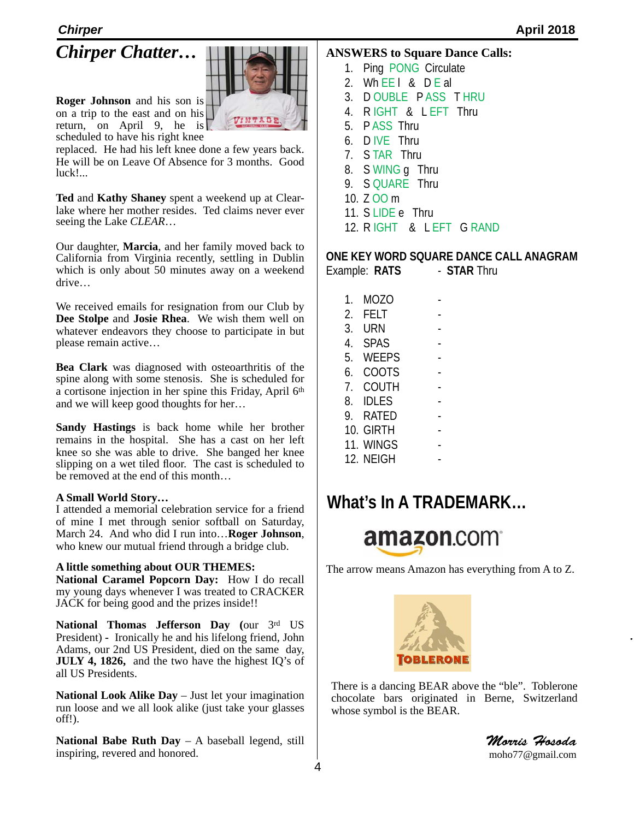

**Roger Johnson** and his son is on a trip to the east and on his return, on April 9, he is scheduled to have his right knee

replaced. He had his left knee done a few years back. He will be on Leave Of Absence for 3 months. Good luck!...

**Ted** and **Kathy Shaney** spent a weekend up at Clearlake where her mother resides. Ted claims never ever seeing the Lake *CLEAR*…

Our daughter, **Marcia**, and her family moved back to California from Virginia recently, settling in Dublin which is only about 50 minutes away on a weekend drive…

We received emails for resignation from our Club by **Dee Stolpe** and **Josie Rhea**. We wish them well on whatever endeavors they choose to participate in but please remain active…

**Bea Clark** was diagnosed with osteoarthritis of the spine along with some stenosis. She is scheduled for a cortisone injection in her spine this Friday, April 6th and we will keep good thoughts for her…

**Sandy Hastings** is back home while her brother remains in the hospital. She has a cast on her left knee so she was able to drive. She banged her knee slipping on a wet tiled floor. The cast is scheduled to be removed at the end of this month…

### **A Small World Story…**

I attended a memorial celebration service for a friend of mine I met through senior softball on Saturday, March 24. And who did I run into…**Roger Johnson**, who knew our mutual friend through a bridge club.

### **A little something about OUR THEMES:**

**National Caramel Popcorn Day:** How I do recall my young days whenever I was treated to CRACKER JACK for being good and the prizes inside!!

**National Thomas Jefferson Day (**our 3rd US President) **-** Ironically he and his lifelong friend, John Adams, our 2nd US President, died on the same day, **JULY 4, 1826,** and the two have the highest IQ's of all US Presidents.

**National Look Alike Day** – Just let your imagination run loose and we all look alike (just take your glasses off!).

**National Babe Ruth Day** – A baseball legend, still inspiring, revered and honored.

### **ANSWERS to Square Dance Calls:**

- 1. Ping PONG Circulate
- 2. Wh EE l & D E al
- 3. D OUBLE P ASS T HRU
- 4. R IGHT & L EFT Thru
- 5. P ASS Thru
- 6. D IVE Thru
- 7. S TAR Thru
- 8. S WING g Thru
- 9. S QUARE Thru
- 10. Z OO m
- 11. S LIDE e Thru
- 12. R IGHT & L EFT G RAND

### **ONE KEY WORD SQUARE DANCE CALL ANAGRAM** Example: **RATS** - **STAR** Thru

| 1. | <b>MOZO</b> |  |
|----|-------------|--|
|    | 2. FELT     |  |
|    | 3. URN      |  |
|    | 4. SPAS     |  |
|    | 5. WEEPS    |  |
|    | 6. COOTS    |  |
|    | 7. COUTH    |  |
|    | 8. IDLES    |  |
|    | 9. RATED    |  |
|    | 10. GIRTH   |  |
|    | 11. WINGS   |  |
|    | 12. NEIGH   |  |

## **What's In A TRADEMARK…**

# amazon.com<sup>®</sup>

The arrow means Amazon has everything from A to Z.



There is a dancing BEAR above the "ble". Toblerone chocolate bars originated in Berne, Switzerland whose symbol is the BEAR.



**Chirper April 2018**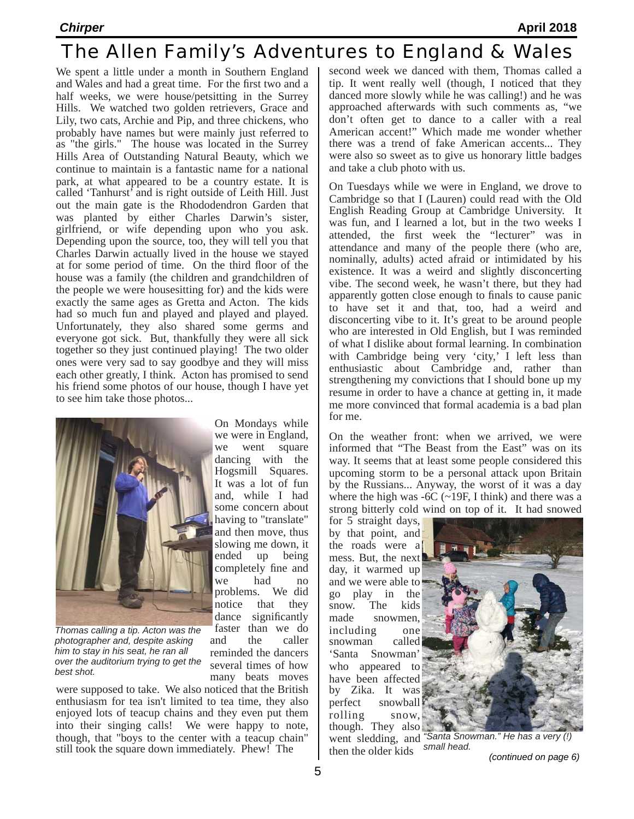### The Allen Family's Adventures to England & Wales

We spent a little under a month in Southern England and Wales and had a great time. For the first two and a half weeks, we were house/petsitting in the Surrey Hills. We watched two golden retrievers, Grace and Lily, two cats, Archie and Pip, and three chickens, who probably have names but were mainly just referred to as "the girls." The house was located in the Surrey Hills Area of Outstanding Natural Beauty, which we continue to maintain is a fantastic name for a national park, at what appeared to be a country estate. It is called 'Tanhurst' and is right outside of Leith Hill. Just out the main gate is the Rhododendron Garden that was planted by either Charles Darwin's sister, girlfriend, or wife depending upon who you ask. Depending upon the source, too, they will tell you that Charles Darwin actually lived in the house we stayed at for some period of time. On the third floor of the house was a family (the children and grandchildren of the people we were housesitting for) and the kids were exactly the same ages as Gretta and Acton. The kids had so much fun and played and played and played. Unfortunately, they also shared some germs and everyone got sick. But, thankfully they were all sick together so they just continued playing! The two older ones were very sad to say goodbye and they will miss each other greatly, I think. Acton has promised to send his friend some photos of our house, though I have yet to see him take those photos...



*Thomas calling a tip. Acton was the photographer and, despite asking him to stay in his seat, he ran all over the auditorium trying to get the best shot.* 

were supposed to take. We also noticed that the British enthusiasm for tea isn't limited to tea time, they also enjoyed lots of teacup chains and they even put them into their singing calls! We were happy to note, though, that "boys to the center with a teacup chain" still took the square down immediately. Phew! The

On Mondays while we were in England, we went square dancing with the Hogsmill Squares. It was a lot of fun and, while I had some concern about having to "translate" and then move, thus slowing me down, it ended up being completely fine and we had no<br>problems. We did problems. notice that they dance significantly faster than we do and the caller reminded the dancers several times of how many beats moves

second week we danced with them, Thomas called a tip. It went really well (though, I noticed that they danced more slowly while he was calling!) and he was approached afterwards with such comments as, "we don't often get to dance to a caller with a real American accent!" Which made me wonder whether there was a trend of fake American accents... They were also so sweet as to give us honorary little badges and take a club photo with us.

On Tuesdays while we were in England, we drove to Cambridge so that I (Lauren) could read with the Old English Reading Group at Cambridge University. It was fun, and I learned a lot, but in the two weeks I attended, the first week the "lecturer" was in attendance and many of the people there (who are, nominally, adults) acted afraid or intimidated by his existence. It was a weird and slightly disconcerting vibe. The second week, he wasn't there, but they had apparently gotten close enough to finals to cause panic to have set it and that, too, had a weird and disconcerting vibe to it. It's great to be around people who are interested in Old English, but I was reminded of what I dislike about formal learning. In combination with Cambridge being very 'city,' I left less than enthusiastic about Cambridge and, rather than strengthening my convictions that I should bone up my resume in order to have a chance at getting in, it made me more convinced that formal academia is a bad plan for me.

On the weather front: when we arrived, we were informed that "The Beast from the East" was on its way. It seems that at least some people considered this upcoming storm to be a personal attack upon Britain by the Russians... Anyway, the worst of it was a day where the high was -6C  $(-19F, I)$  think) and there was a strong bitterly cold wind on top of it. It had snowed

for 5 straight days, by that point, and the roads were a mess. But, the next day, it warmed up and we were able to go play in the snow. made snowmen, including one<br>snowman called snowman 'Santa Snowman' who appeared to have been affected by Zika. It was perfect snowball rolling snow, though. They also



went sledding, and *"Santa Snowman." He has a very (!)*  then the older kids *small head.*

*(continued on page 6)*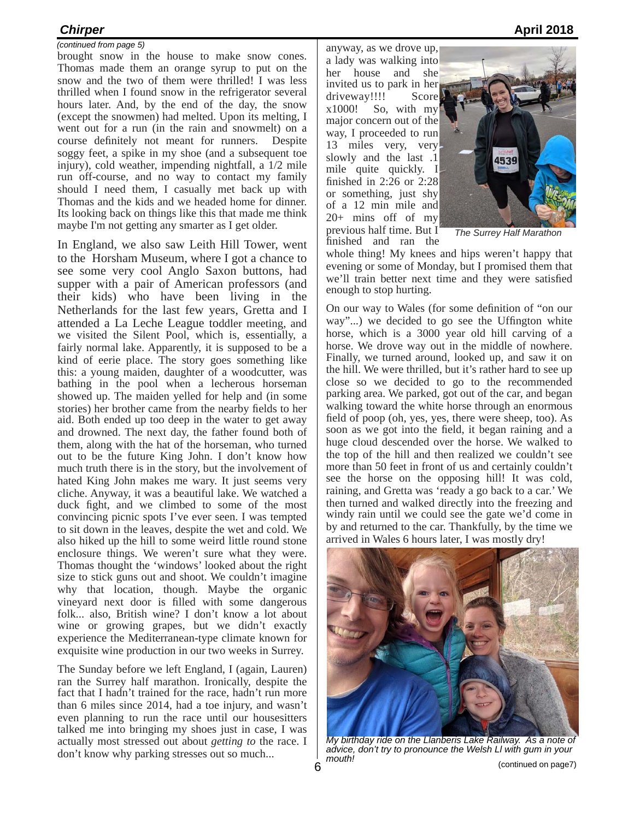### *(continued from page 5)*

brought snow in the house to make snow cones. Thomas made them an orange syrup to put on the snow and the two of them were thrilled! I was less thrilled when I found snow in the refrigerator several hours later. And, by the end of the day, the snow (except the snowmen) had melted. Upon its melting, I went out for a run (in the rain and snowmelt) on a course definitely not meant for runners. Despite soggy feet, a spike in my shoe (and a subsequent toe injury), cold weather, impending nightfall, a 1/2 mile run off-course, and no way to contact my family should I need them, I casually met back up with Thomas and the kids and we headed home for dinner. Its looking back on things like this that made me think maybe I'm not getting any smarter as I get older.

In England, we also saw Leith Hill Tower, went to the Horsham Museum, where I got a chance to see some very cool Anglo Saxon buttons, had supper with a pair of American professors (and their kids) who have been living in the Netherlands for the last few years, Gretta and I attended a La Leche League toddler meeting, and we visited the Silent Pool, which is, essentially, a fairly normal lake. Apparently, it is supposed to be a kind of eerie place. The story goes something like this: a young maiden, daughter of a woodcutter, was bathing in the pool when a lecherous horseman showed up. The maiden yelled for help and (in some stories) her brother came from the nearby fields to her aid. Both ended up too deep in the water to get away and drowned. The next day, the father found both of them, along with the hat of the horseman, who turned out to be the future King John. I don't know how much truth there is in the story, but the involvement of hated King John makes me wary. It just seems very cliche. Anyway, it was a beautiful lake. We watched a duck fight, and we climbed to some of the most convincing picnic spots I've ever seen. I was tempted to sit down in the leaves, despite the wet and cold. We also hiked up the hill to some weird little round stone enclosure things. We weren't sure what they were. Thomas thought the 'windows' looked about the right size to stick guns out and shoot. We couldn't imagine why that location, though. Maybe the organic vineyard next door is filled with some dangerous folk... also, British wine? I don't know a lot about wine or growing grapes, but we didn't exactly experience the Mediterranean-type climate known for exquisite wine production in our two weeks in Surrey.

The Sunday before we left England, I (again, Lauren) ran the Surrey half marathon. Ironically, despite the fact that I hadn't trained for the race, hadn't run more than 6 miles since 2014, had a toe injury, and wasn't even planning to run the race until our housesitters talked me into bringing my shoes just in case, I was actually most stressed out about *getting to* the race. I don't know why parking stresses out so much...

anyway, as we drove up, a lady was walking into her house and she invited us to park in her driveway!!!! Score x1000! So, with my major concern out of the way, I proceeded to run 13 miles very, very slowly and the last .1 mile quite quickly. I finished in 2:26 or 2:28 or something, just shy of a 12 min mile and 20+ mins off of my previous half time. But I finished and ran the



*The Surrey Half Marathon*

whole thing! My knees and hips weren't happy that evening or some of Monday, but I promised them that we'll train better next time and they were satisfied enough to stop hurting.

On our way to Wales (for some definition of "on our way"...) we decided to go see the Uffington white horse, which is a 3000 year old hill carving of a horse. We drove way out in the middle of nowhere. Finally, we turned around, looked up, and saw it on the hill. We were thrilled, but it's rather hard to see up close so we decided to go to the recommended parking area. We parked, got out of the car, and began walking toward the white horse through an enormous field of poop (oh, yes, yes, there were sheep, too). As soon as we got into the field, it began raining and a huge cloud descended over the horse. We walked to the top of the hill and then realized we couldn't see more than 50 feet in front of us and certainly couldn't see the horse on the opposing hill! It was cold, raining, and Gretta was 'ready a go back to a car.' We then turned and walked directly into the freezing and windy rain until we could see the gate we'd come in by and returned to the car. Thankfully, by the time we arrived in Wales 6 hours later, I was mostly dry!



(continued on page7) *My birthday ride on the Llanberis Lake Railway. As a note of advice, don't try to pronounce the Welsh Ll with gum in your mouth!*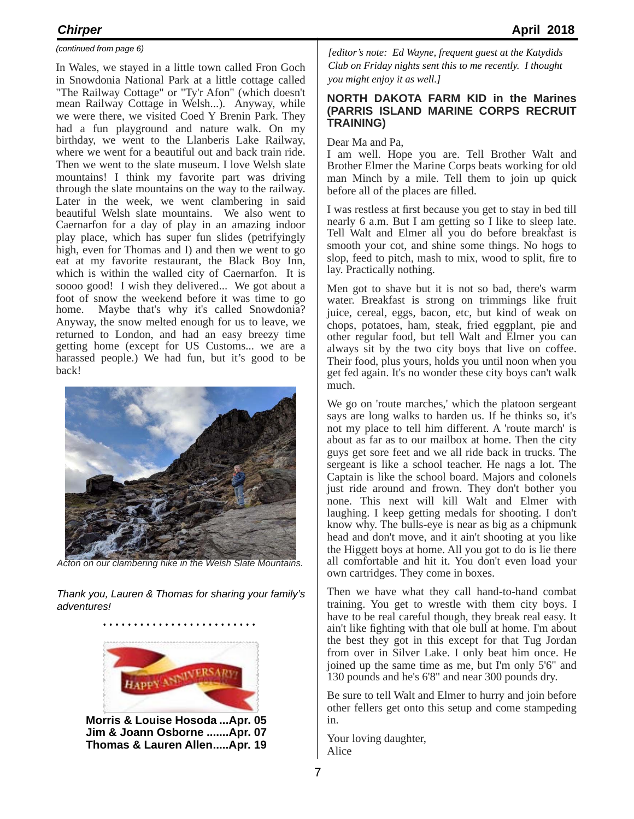### *(continued from page 6)*

In Wales, we stayed in a little town called Fron Goch in Snowdonia National Park at a little cottage called "The Railway Cottage" or "Ty'r Afon" (which doesn't mean Railway Cottage in Welsh...). Anyway, while we were there, we visited Coed Y Brenin Park. They had a fun playground and nature walk. On my birthday, we went to the Llanberis Lake Railway, where we went for a beautiful out and back train ride. Then we went to the slate museum. I love Welsh slate mountains! I think my favorite part was driving through the slate mountains on the way to the railway. Later in the week, we went clambering in said beautiful Welsh slate mountains. We also went to Caernarfon for a day of play in an amazing indoor play place, which has super fun slides (petrifyingly high, even for Thomas and I) and then we went to go eat at my favorite restaurant, the Black Boy Inn, which is within the walled city of Caernarfon. It is soooo good! I wish they delivered... We got about a foot of snow the weekend before it was time to go home. Maybe that's why it's called Snowdonia? Anyway, the snow melted enough for us to leave, we returned to London, and had an easy breezy time getting home (except for US Customs... we are a harassed people.) We had fun, but it's good to be back!



*Acton on our clambering hike in the Welsh Slate Mountains.* 

*Thank you, Lauren & Thomas for sharing your family's adventures!*



**Morris & Louise Hosoda ...Apr. 05 Jim & Joann Osborne .......Apr. 07 Thomas & Lauren Allen.....Apr. 19**

*[editor's note: Ed Wayne, frequent guest at the Katydids Club on Friday nights sent this to me recently. I thought you might enjoy it as well.]*

### **NORTH DAKOTA FARM KID in the Marines (PARRIS ISLAND MARINE CORPS RECRUIT TRAINING)**

Dear Ma and Pa,

I am well. Hope you are. Tell Brother Walt and Brother Elmer the Marine Corps beats working for old man Minch by a mile. Tell them to join up quick before all of the places are filled.

I was restless at first because you get to stay in bed till nearly 6 a.m. But I am getting so I like to sleep late. Tell Walt and Elmer all you do before breakfast is smooth your cot, and shine some things. No hogs to slop, feed to pitch, mash to mix, wood to split, fire to lay. Practically nothing.

Men got to shave but it is not so bad, there's warm water. Breakfast is strong on trimmings like fruit juice, cereal, eggs, bacon, etc, but kind of weak on chops, potatoes, ham, steak, fried eggplant, pie and other regular food, but tell Walt and Elmer you can always sit by the two city boys that live on coffee. Their food, plus yours, holds you until noon when you get fed again. It's no wonder these city boys can't walk much.

We go on 'route marches,' which the platoon sergeant says are long walks to harden us. If he thinks so, it's not my place to tell him different. A 'route march' is about as far as to our mailbox at home. Then the city guys get sore feet and we all ride back in trucks. The sergeant is like a school teacher. He nags a lot. The Captain is like the school board. Majors and colonels just ride around and frown. They don't bother you none. This next will kill Walt and Elmer with laughing. I keep getting medals for shooting. I don't know why. The bulls-eye is near as big as a chipmunk head and don't move, and it ain't shooting at you like the Higgett boys at home. All you got to do is lie there all comfortable and hit it. You don't even load your own cartridges. They come in boxes.

Then we have what they call hand-to-hand combat training. You get to wrestle with them city boys. I have to be real careful though, they break real easy. It ain't like fighting with that ole bull at home. I'm about the best they got in this except for that Tug Jordan from over in Silver Lake. I only beat him once. He joined up the same time as me, but I'm only 5'6" and 130 pounds and he's 6'8" and near 300 pounds dry.

Be sure to tell Walt and Elmer to hurry and join before other fellers get onto this setup and come stampeding in.

Your loving daughter, Alice